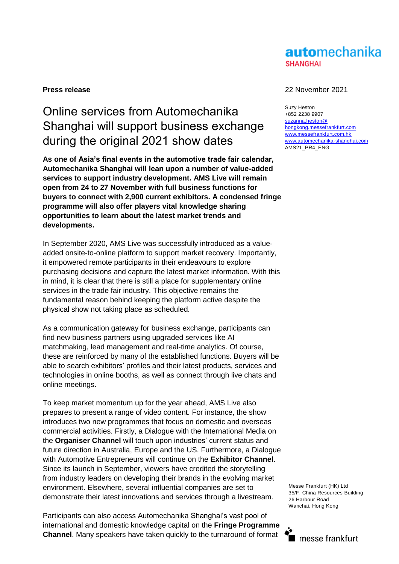## automechanika **SHANGHAI**

# Online services from Automechanika Shanghai will support business exchange during the original 2021 show dates

**As one of Asia's final events in the automotive trade fair calendar, Automechanika Shanghai will lean upon a number of value-added services to support industry development. AMS Live will remain open from 24 to 27 November with full business functions for buyers to connect with 2,900 current exhibitors. A condensed fringe programme will also offer players vital knowledge sharing opportunities to learn about the latest market trends and developments.** 

In September 2020, AMS Live was successfully introduced as a valueadded onsite-to-online platform to support market recovery. Importantly, it empowered remote participants in their endeavours to explore purchasing decisions and capture the latest market information. With this in mind, it is clear that there is still a place for supplementary online services in the trade fair industry. This objective remains the fundamental reason behind keeping the platform active despite the physical show not taking place as scheduled.

As a communication gateway for business exchange, participants can find new business partners using upgraded services like AI matchmaking, lead management and real-time analytics. Of course, these are reinforced by many of the established functions. Buyers will be able to search exhibitors' profiles and their latest products, services and technologies in online booths, as well as connect through live chats and online meetings.

To keep market momentum up for the year ahead, AMS Live also prepares to present a range of video content. For instance, the show introduces two new programmes that focus on domestic and overseas commercial activities. Firstly, a Dialogue with the International Media on the **Organiser Channel** will touch upon industries' current status and future direction in Australia, Europe and the US. Furthermore, a Dialogue with Automotive Entrepreneurs will continue on the **Exhibitor Channel**. Since its launch in September, viewers have credited the storytelling from industry leaders on developing their brands in the evolving market environment. Elsewhere, several influential companies are set to demonstrate their latest innovations and services through a livestream.

Participants can also access Automechanika Shanghai's vast pool of international and domestic knowledge capital on the **Fringe Programme Channel**. Many speakers have taken quickly to the turnaround of format

### **Press release** 22 November 2021

Suzy Heston +852 2238 9907 [suzanna.heston@](mailto:suzanna.heston@hongkong.messefrankfurt.com) [hongkong.messefrankfurt.com](mailto:suzanna.heston@hongkong.messefrankfurt.com) [www.messefrankfurt.com.hk](http://www.messefrankfurt.com.hk/)  [www.automechanika-shanghai.com](file://///mfhk-fs1/sdata/Suzanna%20Heston/2018/AMS/Press%20Release/www.automechanika-shanghai.com) AMS21\_PR4\_ENG

Messe Frankfurt (HK) Ltd 35/F, China Resources Building 26 Harbour Road Wanchai, Hong Kong